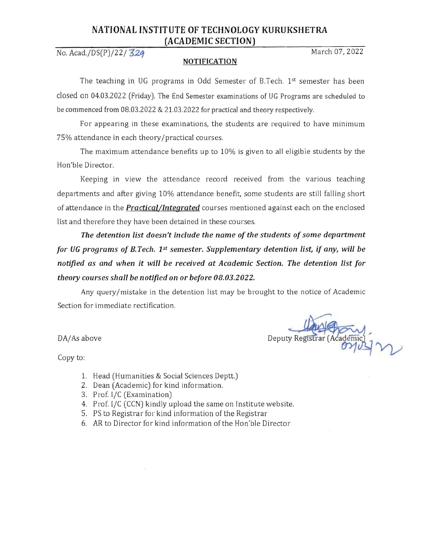## NATIONAL INSTITUTE OF TECHNOLOGY KURUKSHETRA (ACADEMIC SECTION)

No. Acad./DS(P)/22/ 324

## **NOTIFICATION**

The teaching in UG programs in Odd Semester of B.Tech. 1st semester has been closed on 04.03.2022 (Friday). The End Semester examinations of UG Programs are scheduled to be commenced from 08,03.2022 & 21.03,2022 for practical and theory respectively.

For appearing in these examinations, the students are required to have minimum 75% attendance in each theory/practical courses,

The maximum attendance benefits up to 10% is given to aJl eligible students by the Hon'ble Director,

Keeping in view the attendance record received from the various teaching departments and after giving 10% attendance benefit, some students are still falling short of attendance in the *Practical/Integrated* courses mentioned against each on the enclosed list and therefore they have been detained in these courses.

*The detention list doesn't include the name of the students of some department for UG programs of B. Tech. 1st semester. Supplementary detention list, if any, will be notified as and when it will be received at Academic Section. The detention list for theory courses shall be notified on* or *before 08.03.2022.* 

Any query/mistake in the detention list may be brought to the notice of Academic Section for immediate rectification.

DA/As above Deputy Registrar (Academic)

Copy to:

- 1. Head (Humanities & Social Sciences Deptt.)
- 2. Dean (Academic) for kind information,
- 3. Prof. I/C (Examination)
- 4. Prof. I/C (CCN) kindly upload the same on Institute website,
- 5. PS to Registrar for kind information of the Registrar
- 6, AR to Director for kind information of the Hon'ble Director